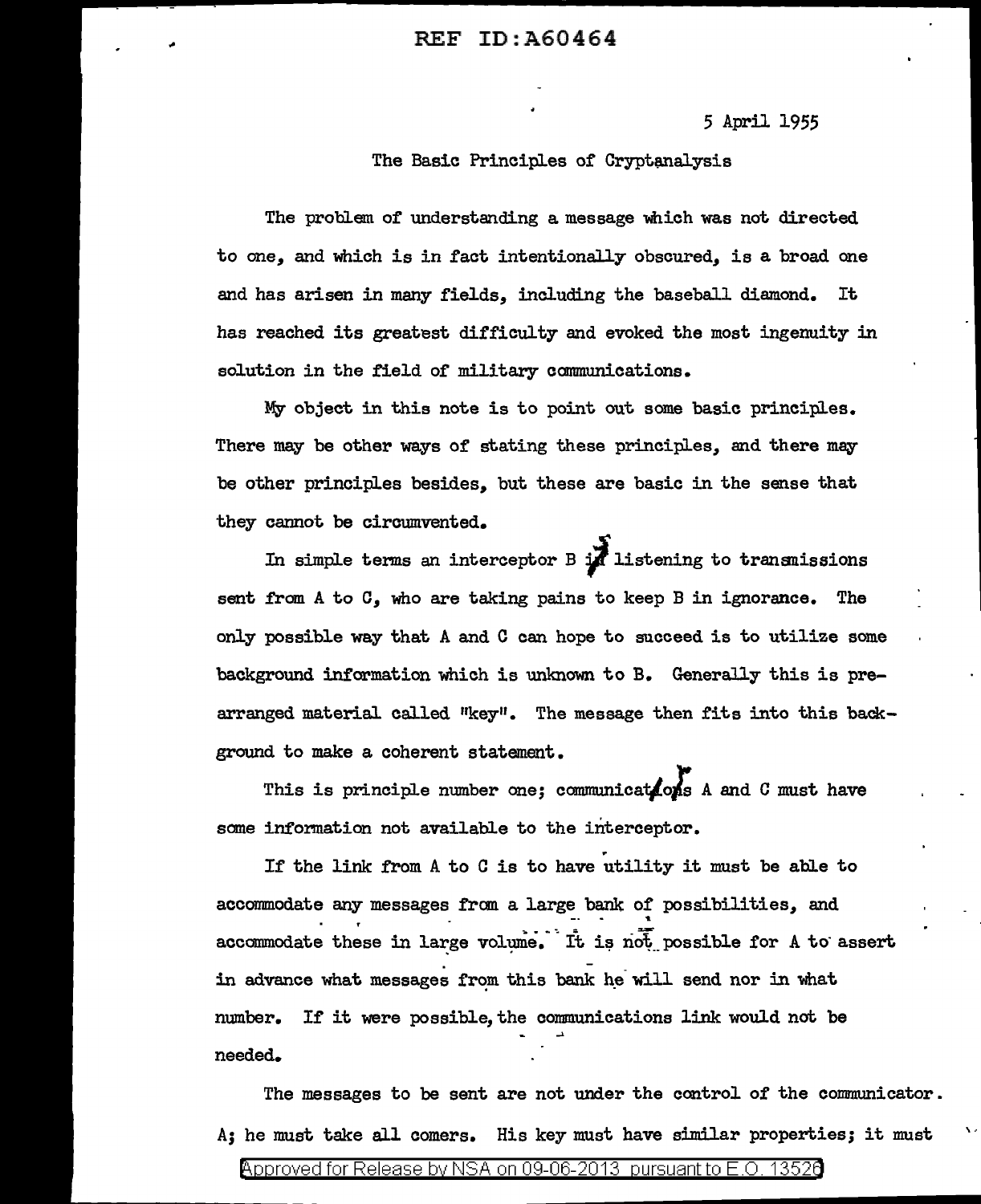5 April 1955

The Basic Principles of Cryptanalysis

The problem of understanding a message which was not directed to one, and which is in fact intentionally obscured, is a broad one and has arisen in many fields, including the baseball diamond. It has reached its greatest difficulty and evoked the most ingenuity in solution in the field of military communications.

My object in this note is to point out some basic principles. There may be other ways of stating these principles, and there meybe other principles besides, but these are basic in the sense that they cannot be circumvented.

In simple terms an interceptor B *I* listening to transnissions sent from A to C, who are taking pains to keep B in ignorance. The only possible way that *A* and C can hope to succeed is to utilize some background information which is unknown to B. Generally this is prearranged material called "key". The message then fits into this background to make a coherent statement.

This is principle number one; communications A and C must have some information not available to the interceptor.

. If the link from A to C is to have utility it must be able to accommodate any messages from a large bank of possibilities, and .<br>accommodate these in large volume. It is not possible for A to assert. in advance what messages from this bank he will send nor in what number. If it were possible, the communications link would not be needed.

The messages to be sent are not under the control of the communicator. A; he must take all comers. His key must have similar properties; it must

 $\ddot{\phantom{1}}$ 

@'pp roved for Release by NSA on 09-06-2013 pursuantto E .0. 1352a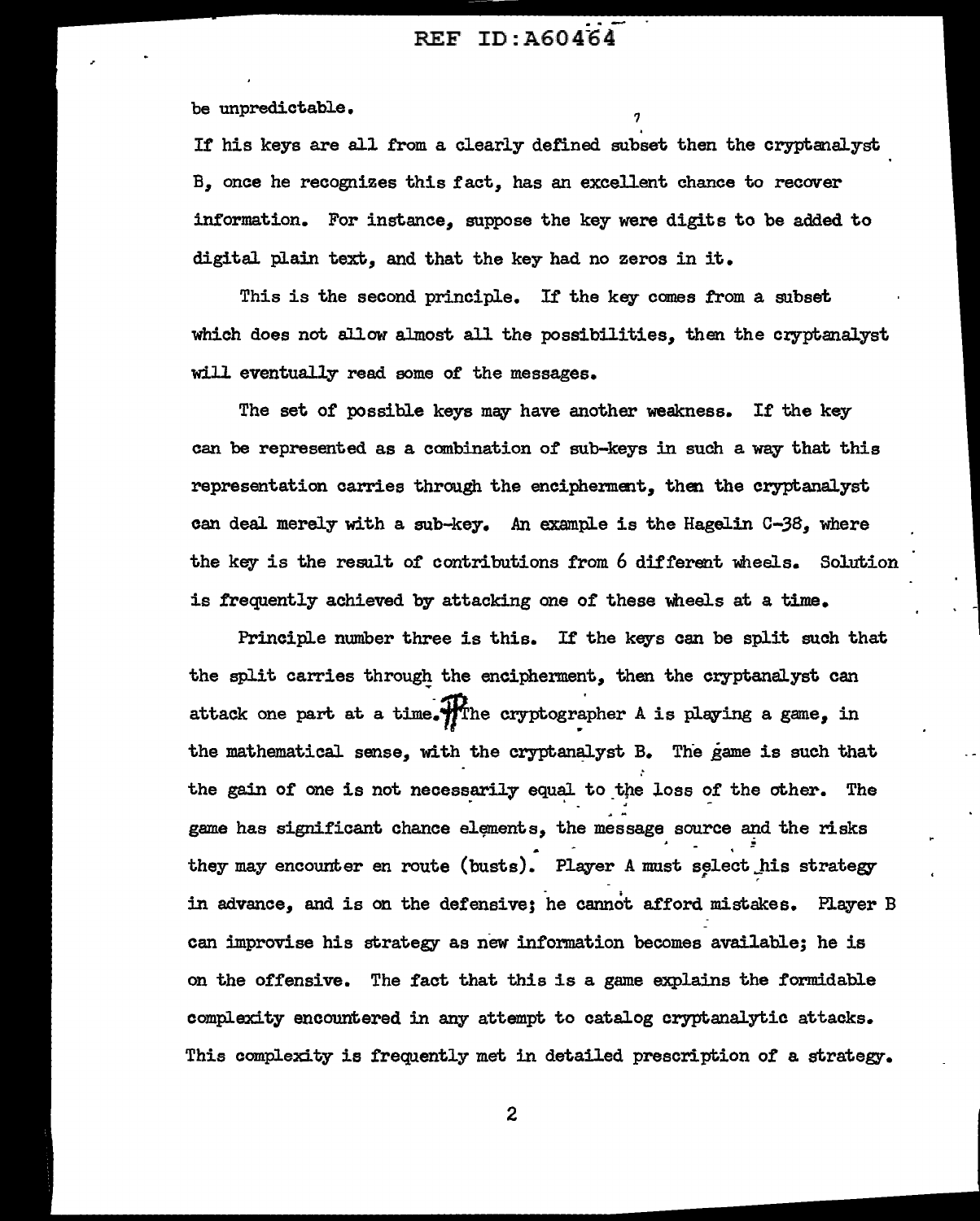be unpredictable.

If his keys are all from a clearly defined subset then the cryptanalyst B. once he recognizes this fact. has an excellent chance to recover information. For instance, suppose the key were digits to be added to digital plain text, and that the key had no zeros in it.

This is the second principle. If the key comes from a subset which does not allow almost all the possibilities, then the cryptanalyst will eventually read some of the messages.

The set of possible keys may have another weakness. If the key can be represented as a combination of sub-keys in such a way that this representation carries through the encipherment, then the cryptanalyst can deal merely with a sub-key. An example is the Hagelin C-38, where the key is the result of contributions from 6 different wheels. Solution is frequently achieved by attacking one of these wheels at a time.

Principle number three is this. If the keys can be split such that the split carries through the encipherment, then the cryptanalyst can attack one part at a time. The cryptographer A is playing a game, in the mathematical sense, with the cryptanalyst B. The game is such that the gain of one is not necessarily equal to the loss of the other. The game has significant chance elements, the message source and the risks they may encounter en route (busts). Player A must select his strategy in advance, and is on the defensive; he cannot afford mistakes. Player B can improvise his strategy as new information becomes available; he is on the offensive. The fact that this is a game explains the formidable complexity encountered in any attempt to catalog cryptanalytic attacks. This complexity is frequently met in detailed prescription of a strategy.

2